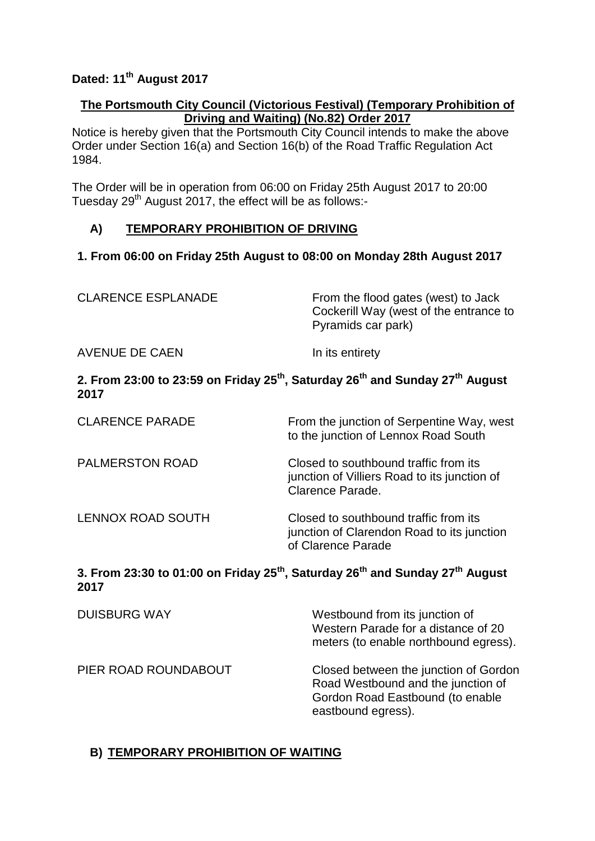## **Dated: 11th August 2017**

#### **The Portsmouth City Council (Victorious Festival) (Temporary Prohibition of Driving and Waiting) (No.82) Order 2017**

Notice is hereby given that the Portsmouth City Council intends to make the above Order under Section 16(a) and Section 16(b) of the Road Traffic Regulation Act 1984.

The Order will be in operation from 06:00 on Friday 25th August 2017 to 20:00 Tuesday 29<sup>th</sup> August 2017, the effect will be as follows:-

#### **A) TEMPORARY PROHIBITION OF DRIVING**

#### **1. From 06:00 on Friday 25th August to 08:00 on Monday 28th August 2017**

| <b>CLARENCE ESPLANADE</b>                                                                                               | From the flood gates (west) to Jack<br>Cockerill Way (west of the entrance to<br>Pyramids car park) |
|-------------------------------------------------------------------------------------------------------------------------|-----------------------------------------------------------------------------------------------------|
| <b>AVENUE DE CAEN</b>                                                                                                   | In its entirety                                                                                     |
| بالمقاومة والمستقبل والمستقبل والمستقبل والمستقبل والمستقبل والمستقبل والمستقبل والمستقبل والمستقبل والمستقبل والمستقبل |                                                                                                     |

#### **2. From 23:00 to 23:59 on Friday 25th, Saturday 26th and Sunday 27th August 2017**

| <b>CLARENCE PARADE</b>   | From the junction of Serpentine Way, west<br>to the junction of Lennox Road South                         |
|--------------------------|-----------------------------------------------------------------------------------------------------------|
| <b>PALMERSTON ROAD</b>   | Closed to southbound traffic from its<br>junction of Villiers Road to its junction of<br>Clarence Parade. |
| <b>LENNOX ROAD SOUTH</b> | Closed to southbound traffic from its<br>junction of Clarendon Road to its junction<br>of Clarence Parade |

## **3. From 23:30 to 01:00 on Friday 25th, Saturday 26th and Sunday 27th August 2017**

| <b>DUISBURG WAY</b>  | Westbound from its junction of<br>Western Parade for a distance of 20<br>meters (to enable northbound egress).                        |
|----------------------|---------------------------------------------------------------------------------------------------------------------------------------|
| PIER ROAD ROUNDABOUT | Closed between the junction of Gordon<br>Road Westbound and the junction of<br>Gordon Road Eastbound (to enable<br>eastbound egress). |

### **B) TEMPORARY PROHIBITION OF WAITING**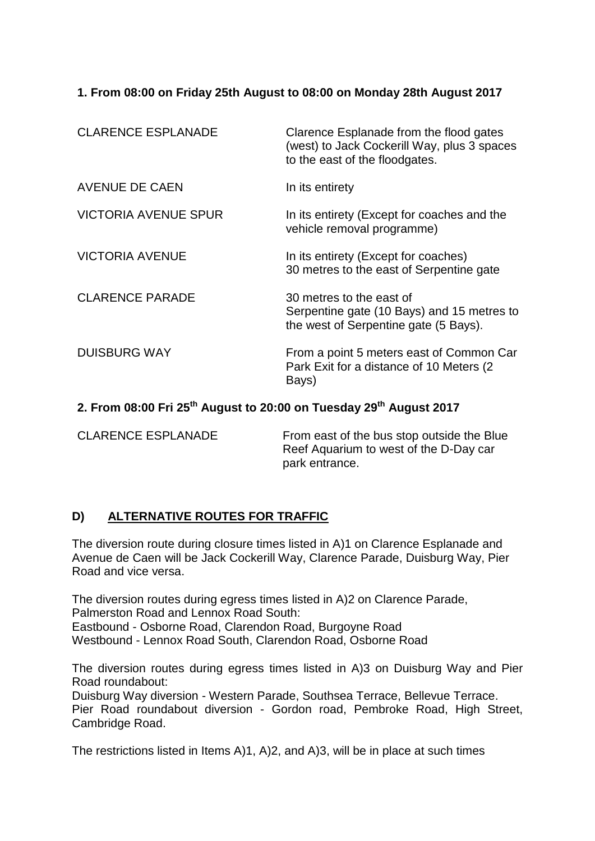#### **1. From 08:00 on Friday 25th August to 08:00 on Monday 28th August 2017**

| <b>CLARENCE ESPLANADE</b>   | Clarence Esplanade from the flood gates<br>(west) to Jack Cockerill Way, plus 3 spaces<br>to the east of the floodgates. |
|-----------------------------|--------------------------------------------------------------------------------------------------------------------------|
| <b>AVENUE DE CAEN</b>       | In its entirety                                                                                                          |
| <b>VICTORIA AVENUE SPUR</b> | In its entirety (Except for coaches and the<br>vehicle removal programme)                                                |
| <b>VICTORIA AVENUE</b>      | In its entirety (Except for coaches)<br>30 metres to the east of Serpentine gate                                         |
| <b>CLARENCE PARADE</b>      | 30 metres to the east of<br>Serpentine gate (10 Bays) and 15 metres to<br>the west of Serpentine gate (5 Bays).          |
| <b>DUISBURG WAY</b>         | From a point 5 meters east of Common Car<br>Park Exit for a distance of 10 Meters (2)<br>Bays)                           |
|                             |                                                                                                                          |

# **2. From 08:00 Fri 25th August to 20:00 on Tuesday 29th August 2017**

CLARENCE ESPLANADE From east of the bus stop outside the Blue Reef Aquarium to west of the D-Day car park entrance.

### **D) ALTERNATIVE ROUTES FOR TRAFFIC**

The diversion route during closure times listed in A)1 on Clarence Esplanade and Avenue de Caen will be Jack Cockerill Way, Clarence Parade, Duisburg Way, Pier Road and vice versa.

The diversion routes during egress times listed in A)2 on Clarence Parade, Palmerston Road and Lennox Road South: Eastbound - Osborne Road, Clarendon Road, Burgoyne Road Westbound - Lennox Road South, Clarendon Road, Osborne Road

The diversion routes during egress times listed in A)3 on Duisburg Way and Pier Road roundabout:

Duisburg Way diversion - Western Parade, Southsea Terrace, Bellevue Terrace. Pier Road roundabout diversion - Gordon road, Pembroke Road, High Street, Cambridge Road.

The restrictions listed in Items A)1, A)2, and A)3, will be in place at such times